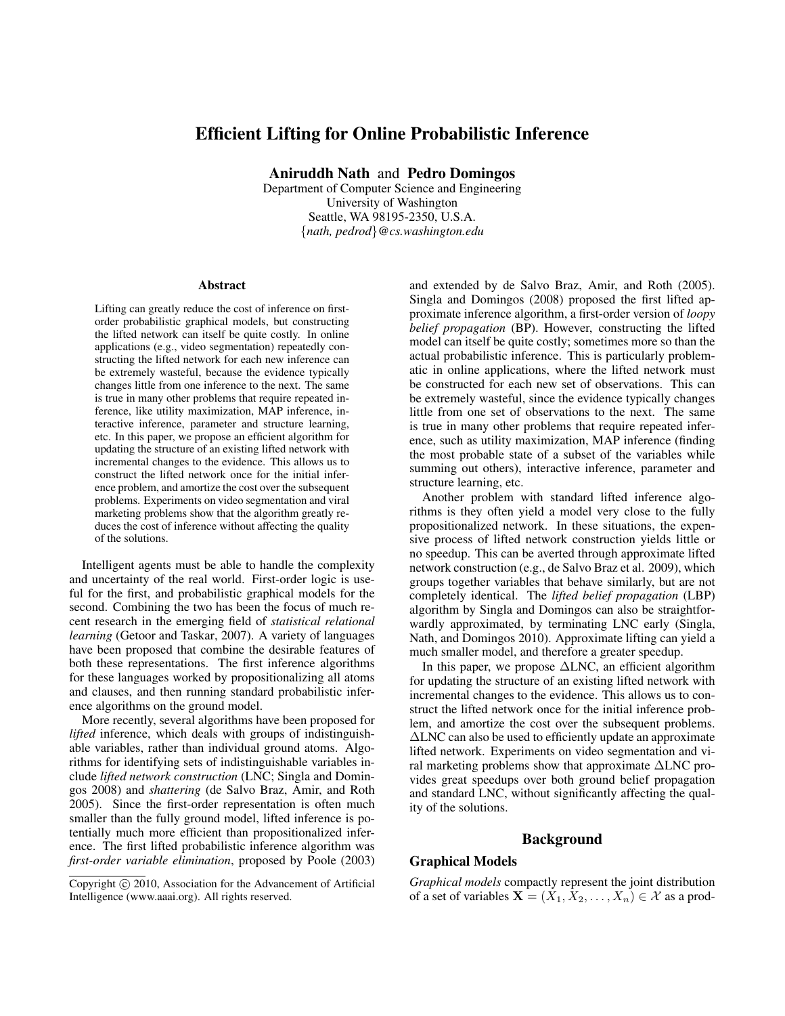# Efficient Lifting for Online Probabilistic Inference

Aniruddh Nath and Pedro Domingos

Department of Computer Science and Engineering University of Washington Seattle, WA 98195-2350, U.S.A. {*nath, pedrod*}*@cs.washington.edu*

#### **Abstract**

Lifting can greatly reduce the cost of inference on firstorder probabilistic graphical models, but constructing the lifted network can itself be quite costly. In online applications (e.g., video segmentation) repeatedly constructing the lifted network for each new inference can be extremely wasteful, because the evidence typically changes little from one inference to the next. The same is true in many other problems that require repeated inference, like utility maximization, MAP inference, interactive inference, parameter and structure learning, etc. In this paper, we propose an efficient algorithm for updating the structure of an existing lifted network with incremental changes to the evidence. This allows us to construct the lifted network once for the initial inference problem, and amortize the cost over the subsequent problems. Experiments on video segmentation and viral marketing problems show that the algorithm greatly reduces the cost of inference without affecting the quality of the solutions.

Intelligent agents must be able to handle the complexity and uncertainty of the real world. First-order logic is useful for the first, and probabilistic graphical models for the second. Combining the two has been the focus of much recent research in the emerging field of *statistical relational learning* (Getoor and Taskar, 2007). A variety of languages have been proposed that combine the desirable features of both these representations. The first inference algorithms for these languages worked by propositionalizing all atoms and clauses, and then running standard probabilistic inference algorithms on the ground model.

More recently, several algorithms have been proposed for *lifted* inference, which deals with groups of indistinguishable variables, rather than individual ground atoms. Algorithms for identifying sets of indistinguishable variables include *lifted network construction* (LNC; Singla and Domingos 2008) and *shattering* (de Salvo Braz, Amir, and Roth 2005). Since the first-order representation is often much smaller than the fully ground model, lifted inference is potentially much more efficient than propositionalized inference. The first lifted probabilistic inference algorithm was *first-order variable elimination*, proposed by Poole (2003)

and extended by de Salvo Braz, Amir, and Roth (2005). Singla and Domingos (2008) proposed the first lifted approximate inference algorithm, a first-order version of *loopy belief propagation* (BP). However, constructing the lifted model can itself be quite costly; sometimes more so than the actual probabilistic inference. This is particularly problematic in online applications, where the lifted network must be constructed for each new set of observations. This can be extremely wasteful, since the evidence typically changes little from one set of observations to the next. The same is true in many other problems that require repeated inference, such as utility maximization, MAP inference (finding the most probable state of a subset of the variables while summing out others), interactive inference, parameter and structure learning, etc.

Another problem with standard lifted inference algorithms is they often yield a model very close to the fully propositionalized network. In these situations, the expensive process of lifted network construction yields little or no speedup. This can be averted through approximate lifted network construction (e.g., de Salvo Braz et al. 2009), which groups together variables that behave similarly, but are not completely identical. The *lifted belief propagation* (LBP) algorithm by Singla and Domingos can also be straightforwardly approximated, by terminating LNC early (Singla, Nath, and Domingos 2010). Approximate lifting can yield a much smaller model, and therefore a greater speedup.

In this paper, we propose ∆LNC, an efficient algorithm for updating the structure of an existing lifted network with incremental changes to the evidence. This allows us to construct the lifted network once for the initial inference problem, and amortize the cost over the subsequent problems. ∆LNC can also be used to efficiently update an approximate lifted network. Experiments on video segmentation and viral marketing problems show that approximate ∆LNC provides great speedups over both ground belief propagation and standard LNC, without significantly affecting the quality of the solutions.

#### Background

## Graphical Models

*Graphical models* compactly represent the joint distribution of a set of variables  $\mathbf{X} = (\dot{X}_1, \dot{X}_2, \dots, \dot{X}_n) \in \mathcal{X}$  as a prod-

Copyright  $\odot$  2010, Association for the Advancement of Artificial Intelligence (www.aaai.org). All rights reserved.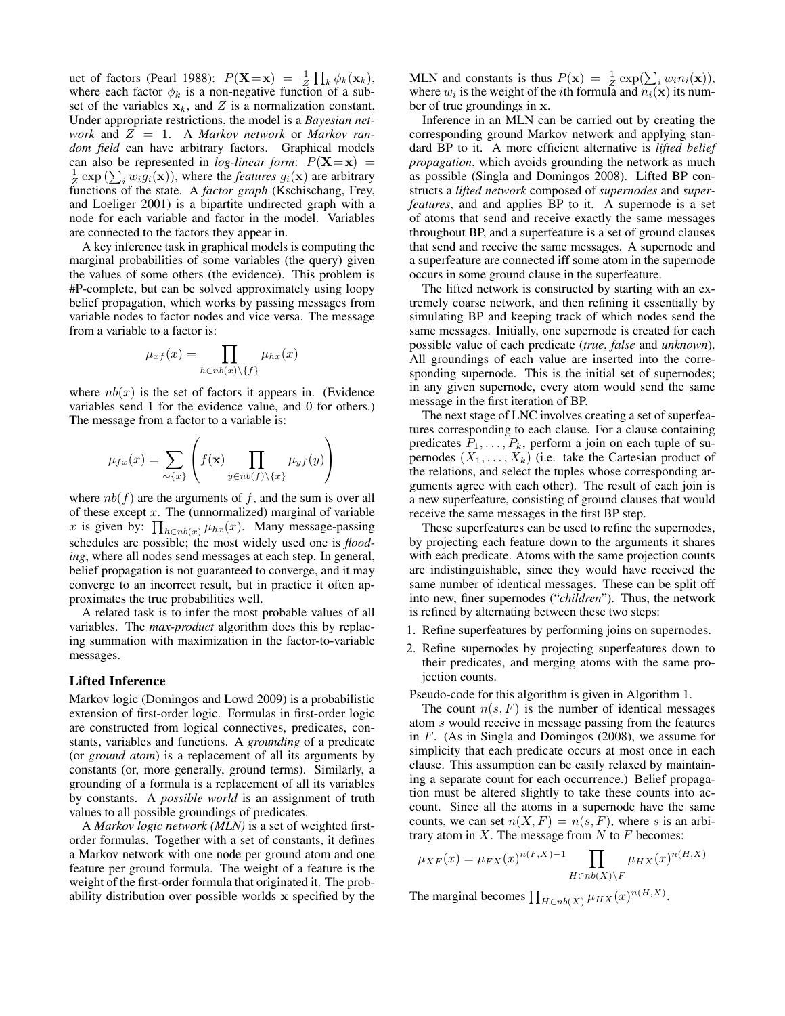uct of factors (Pearl 1988):  $P(\mathbf{X} = \mathbf{x}) = \frac{1}{Z} \prod_k \phi_k(\mathbf{x}_k)$ , where each factor  $\phi_k$  is a non-negative function of a subset of the variables  $x_k$ , and Z is a normalization constant. Under appropriate restrictions, the model is a *Bayesian network* and Z = 1. A *Markov network* or *Markov random field* can have arbitrary factors. Graphical models can also be represented in *log-linear form*:  $P(X=x)$  =  $\frac{1}{z}$  exp ( $\sum_i w_i g_i(\mathbf{x})$ ), where the *features*  $g_i(\mathbf{x})$  are arbitrary functions of the state. A *factor graph* (Kschischang, Frey, and Loeliger 2001) is a bipartite undirected graph with a node for each variable and factor in the model. Variables are connected to the factors they appear in.

A key inference task in graphical models is computing the marginal probabilities of some variables (the query) given the values of some others (the evidence). This problem is #P-complete, but can be solved approximately using loopy belief propagation, which works by passing messages from variable nodes to factor nodes and vice versa. The message from a variable to a factor is:

$$
\mu_{xf}(x) = \prod_{h \in nb(x) \setminus \{f\}} \mu_{hx}(x)
$$

where  $nb(x)$  is the set of factors it appears in. (Evidence variables send 1 for the evidence value, and 0 for others.) The message from a factor to a variable is:

$$
\mu_{fx}(x) = \sum_{\sim \{x\}} \left( f(\mathbf{x}) \prod_{y \in nb(f) \setminus \{x\}} \mu_{yf}(y) \right)
$$

where  $nb(f)$  are the arguments of f, and the sum is over all of these except  $x$ . The (unnormalized) marginal of variable x is given by:  $\prod_{h \in nb(x)} \mu_{hx}(x)$ . Many message-passing schedules are possible; the most widely used one is *flooding*, where all nodes send messages at each step. In general, belief propagation is not guaranteed to converge, and it may converge to an incorrect result, but in practice it often approximates the true probabilities well.

A related task is to infer the most probable values of all variables. The *max-product* algorithm does this by replacing summation with maximization in the factor-to-variable messages.

#### Lifted Inference

Markov logic (Domingos and Lowd 2009) is a probabilistic extension of first-order logic. Formulas in first-order logic are constructed from logical connectives, predicates, constants, variables and functions. A *grounding* of a predicate (or *ground atom*) is a replacement of all its arguments by constants (or, more generally, ground terms). Similarly, a grounding of a formula is a replacement of all its variables by constants. A *possible world* is an assignment of truth values to all possible groundings of predicates.

A *Markov logic network (MLN)* is a set of weighted firstorder formulas. Together with a set of constants, it defines a Markov network with one node per ground atom and one feature per ground formula. The weight of a feature is the weight of the first-order formula that originated it. The probability distribution over possible worlds x specified by the

MLN and constants is thus  $P(\mathbf{x}) = \frac{1}{Z} \exp(\sum_i w_i n_i(\mathbf{x})),$ where  $w_i$  is the weight of the *i*th formula and  $n_i(\mathbf{x})$  its number of true groundings in x.

Inference in an MLN can be carried out by creating the corresponding ground Markov network and applying standard BP to it. A more efficient alternative is *lifted belief propagation*, which avoids grounding the network as much as possible (Singla and Domingos 2008). Lifted BP constructs a *lifted network* composed of *supernodes* and *superfeatures*, and and applies BP to it. A supernode is a set of atoms that send and receive exactly the same messages throughout BP, and a superfeature is a set of ground clauses that send and receive the same messages. A supernode and a superfeature are connected iff some atom in the supernode occurs in some ground clause in the superfeature.

The lifted network is constructed by starting with an extremely coarse network, and then refining it essentially by simulating BP and keeping track of which nodes send the same messages. Initially, one supernode is created for each possible value of each predicate (*true*, *false* and *unknown*). All groundings of each value are inserted into the corresponding supernode. This is the initial set of supernodes; in any given supernode, every atom would send the same message in the first iteration of BP.

The next stage of LNC involves creating a set of superfeatures corresponding to each clause. For a clause containing predicates  $P_1, \ldots, P_k$ , perform a join on each tuple of supernodes  $(X_1, \ldots, X_k)$  (i.e. take the Cartesian product of the relations, and select the tuples whose corresponding arguments agree with each other). The result of each join is a new superfeature, consisting of ground clauses that would receive the same messages in the first BP step.

These superfeatures can be used to refine the supernodes, by projecting each feature down to the arguments it shares with each predicate. Atoms with the same projection counts are indistinguishable, since they would have received the same number of identical messages. These can be split off into new, finer supernodes ("*children*"). Thus, the network is refined by alternating between these two steps:

- 1. Refine superfeatures by performing joins on supernodes.
- 2. Refine supernodes by projecting superfeatures down to their predicates, and merging atoms with the same projection counts.

Pseudo-code for this algorithm is given in Algorithm 1.

The count  $n(s, F)$  is the number of identical messages atom s would receive in message passing from the features in F. (As in Singla and Domingos (2008), we assume for simplicity that each predicate occurs at most once in each clause. This assumption can be easily relaxed by maintaining a separate count for each occurrence.) Belief propagation must be altered slightly to take these counts into account. Since all the atoms in a supernode have the same counts, we can set  $n(X, F) = n(s, F)$ , where s is an arbitrary atom in  $X$ . The message from  $N$  to  $F$  becomes:

$$
\mu_{XF}(x) = \mu_{FX}(x)^{n(F,X)-1} \prod_{H \in nb(X) \backslash F} \mu_{HX}(x)^{n(H,X)}
$$

The marginal becomes  $\prod_{H \in nb(X)} \mu_{HX}(x)^{n(H,X)}$ .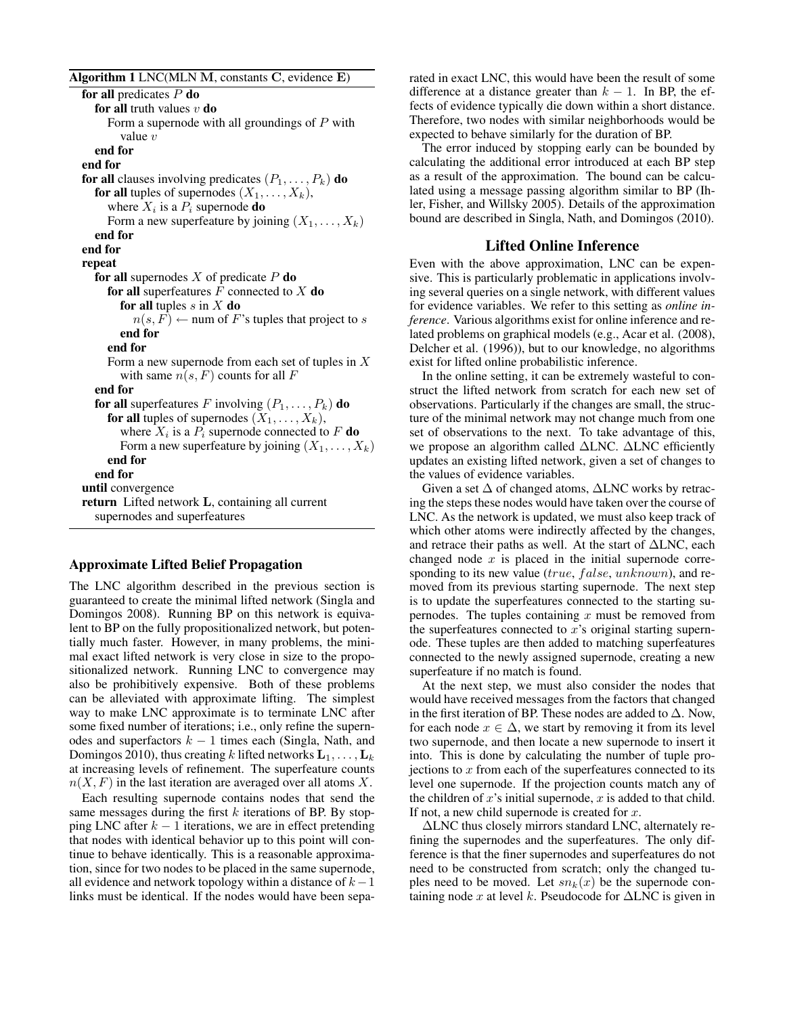Algorithm 1 LNC(MLN M, constants C, evidence E)

for all predicates  $P$  do for all truth values  $v$  do Form a supernode with all groundings of  $P$  with value  $v$ end for end for for all clauses involving predicates  $(P_1, \ldots, P_k)$  do for all tuples of supernodes  $(X_1, \ldots, X_k)$ , where  $X_i$  is a  $P_i$  supernode **do** Form a new superfeature by joining  $(X_1, \ldots, X_k)$ end for end for repeat for all supernodes  $X$  of predicate  $P$  do for all superfeatures  $F$  connected to  $X$  do for all tuples  $s$  in  $X$  do  $n(s, F) \leftarrow$  num of F's tuples that project to s end for end for Form a new supernode from each set of tuples in  $X$ with same  $n(s, F)$  counts for all F end for for all superfeatures F involving  $(P_1, \ldots, P_k)$  do for all tuples of supernodes  $(X_1, \ldots, X_k)$ , where  $X_i$  is a  $P_i$  supernode connected to F **do** Form a new superfeature by joining  $(X_1, \ldots, X_k)$ end for end for until convergence return Lifted network L, containing all current supernodes and superfeatures

#### Approximate Lifted Belief Propagation

The LNC algorithm described in the previous section is guaranteed to create the minimal lifted network (Singla and Domingos 2008). Running BP on this network is equivalent to BP on the fully propositionalized network, but potentially much faster. However, in many problems, the minimal exact lifted network is very close in size to the propositionalized network. Running LNC to convergence may also be prohibitively expensive. Both of these problems can be alleviated with approximate lifting. The simplest way to make LNC approximate is to terminate LNC after some fixed number of iterations; i.e., only refine the supernodes and superfactors  $k - 1$  times each (Singla, Nath, and Domingos 2010), thus creating k lifted networks  $L_1, \ldots, L_k$ at increasing levels of refinement. The superfeature counts  $n(X, F)$  in the last iteration are averaged over all atoms X.

Each resulting supernode contains nodes that send the same messages during the first  $k$  iterations of BP. By stopping LNC after  $k - 1$  iterations, we are in effect pretending that nodes with identical behavior up to this point will continue to behave identically. This is a reasonable approximation, since for two nodes to be placed in the same supernode, all evidence and network topology within a distance of  $k-1$ links must be identical. If the nodes would have been separated in exact LNC, this would have been the result of some difference at a distance greater than  $k - 1$ . In BP, the effects of evidence typically die down within a short distance. Therefore, two nodes with similar neighborhoods would be expected to behave similarly for the duration of BP.

The error induced by stopping early can be bounded by calculating the additional error introduced at each BP step as a result of the approximation. The bound can be calculated using a message passing algorithm similar to BP (Ihler, Fisher, and Willsky 2005). Details of the approximation bound are described in Singla, Nath, and Domingos (2010).

## Lifted Online Inference

Even with the above approximation, LNC can be expensive. This is particularly problematic in applications involving several queries on a single network, with different values for evidence variables. We refer to this setting as *online inference*. Various algorithms exist for online inference and related problems on graphical models (e.g., Acar et al. (2008), Delcher et al. (1996)), but to our knowledge, no algorithms exist for lifted online probabilistic inference.

In the online setting, it can be extremely wasteful to construct the lifted network from scratch for each new set of observations. Particularly if the changes are small, the structure of the minimal network may not change much from one set of observations to the next. To take advantage of this, we propose an algorithm called ∆LNC. ∆LNC efficiently updates an existing lifted network, given a set of changes to the values of evidence variables.

Given a set  $\Delta$  of changed atoms,  $\Delta$ LNC works by retracing the steps these nodes would have taken over the course of LNC. As the network is updated, we must also keep track of which other atoms were indirectly affected by the changes, and retrace their paths as well. At the start of ∆LNC, each changed node  $x$  is placed in the initial supernode corresponding to its new value ( $true, false, unknown$ ), and removed from its previous starting supernode. The next step is to update the superfeatures connected to the starting supernodes. The tuples containing  $x$  must be removed from the superfeatures connected to  $x$ 's original starting supernode. These tuples are then added to matching superfeatures connected to the newly assigned supernode, creating a new superfeature if no match is found.

At the next step, we must also consider the nodes that would have received messages from the factors that changed in the first iteration of BP. These nodes are added to  $\Delta$ . Now, for each node  $x \in \Delta$ , we start by removing it from its level two supernode, and then locate a new supernode to insert it into. This is done by calculating the number of tuple projections to  $x$  from each of the superfeatures connected to its level one supernode. If the projection counts match any of the children of  $x$ 's initial supernode,  $x$  is added to that child. If not, a new child supernode is created for  $x$ .

∆LNC thus closely mirrors standard LNC, alternately refining the supernodes and the superfeatures. The only difference is that the finer supernodes and superfeatures do not need to be constructed from scratch; only the changed tuples need to be moved. Let  $sn_k(x)$  be the supernode containing node x at level k. Pseudocode for  $\triangle$ LNC is given in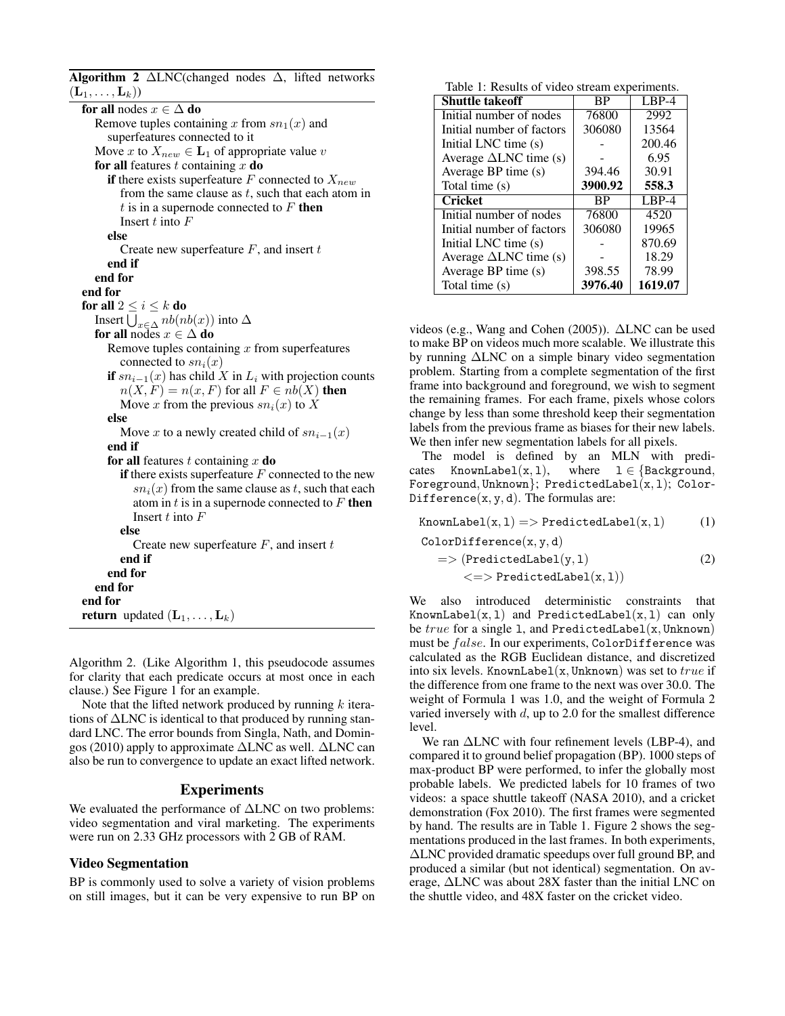Algorithm 2  $\triangle$ LNC(changed nodes  $\triangle$ , lifted networks  $(\mathbf{L}_1, \ldots, \mathbf{L}_k))$ for all nodes  $x \in \Delta$  do Remove tuples containing x from  $sn_1(x)$  and superfeatures connected to it Move x to  $X_{new} \in L_1$  of appropriate value v for all features t containing  $x$  do if there exists superfeature F connected to  $X_{new}$ from the same clause as  $t$ , such that each atom in  $t$  is in a supernode connected to  $F$  then Insert  $t$  into  $F$ else Create new superfeature  $F$ , and insert  $t$ end if end for end for for all  $2 \leq i \leq k$  do Insert  $\bigcup_{x \in \Delta} nb(nb(x))$  into  $\Delta$ for all nodes  $x \in \Delta$  do Remove tuples containing  $x$  from superfeatures connected to  $sn_i(x)$ if  $sn_{i-1}(x)$  has child X in  $L_i$  with projection counts  $n(X, F) = n(x, F)$  for all  $F \in nb(X)$  then Move x from the previous  $sn_i(x)$  to X else Move x to a newly created child of  $sn_{i-1}(x)$ end if for all features t containing  $x$  do if there exists superfeature  $F$  connected to the new  $sn<sub>i</sub>(x)$  from the same clause as t, such that each atom in  $t$  is in a supernode connected to  $F$  then Insert  $t$  into  $F$ else Create new superfeature  $F$ , and insert  $t$ end if end for end for end for **return** updated  $(L_1, \ldots, L_k)$ 

Algorithm 2. (Like Algorithm 1, this pseudocode assumes for clarity that each predicate occurs at most once in each clause.) See Figure 1 for an example.

Note that the lifted network produced by running  $k$  iterations of ∆LNC is identical to that produced by running standard LNC. The error bounds from Singla, Nath, and Domingos (2010) apply to approximate ∆LNC as well. ∆LNC can also be run to convergence to update an exact lifted network.

## Experiments

We evaluated the performance of ∆LNC on two problems: video segmentation and viral marketing. The experiments were run on 2.33 GHz processors with 2 GB of RAM.

#### Video Segmentation

BP is commonly used to solve a variety of vision problems on still images, but it can be very expensive to run BP on

Table 1: Results of video stream experiments.

| <b>Shuttle takeoff</b>           | ВP        | $LBP-4$ |  |
|----------------------------------|-----------|---------|--|
| Initial number of nodes          | 76800     | 2992    |  |
| Initial number of factors        | 306080    | 13564   |  |
| Initial LNC time (s)             |           | 200.46  |  |
| Average $\triangle$ LNC time (s) |           | 6.95    |  |
| Average BP time (s)              | 394.46    | 30.91   |  |
| Total time (s)                   | 3900.92   | 558.3   |  |
| <b>Cricket</b>                   | <b>BP</b> | $LBP-4$ |  |
| Initial number of nodes          | 76800     | 4520    |  |
| Initial number of factors        | 306080    | 19965   |  |
| Initial LNC time (s)             |           | 870.69  |  |
| Average $\Delta LNC$ time (s)    |           | 18.29   |  |
| Average BP time (s)              | 398.55    | 78.99   |  |
| Total time (s)                   | 3976.40   | 1619.07 |  |

videos (e.g., Wang and Cohen (2005)). ∆LNC can be used to make BP on videos much more scalable. We illustrate this by running ∆LNC on a simple binary video segmentation problem. Starting from a complete segmentation of the first frame into background and foreground, we wish to segment the remaining frames. For each frame, pixels whose colors change by less than some threshold keep their segmentation labels from the previous frame as biases for their new labels. We then infer new segmentation labels for all pixels.

The model is defined by an MLN with predicates KnownLabel(x, 1), where  $1 \in \{\text{Background},\}$ Foreground, Unknown  $\}$ ; PredictedLabel $(x, 1)$ ; Color-Difference $(x, y, d)$ . The formulas are:

KnownLabel $(x, 1)$  => PredictedLabel $(x, 1)$  (1)  $ColorDifference(x, y, d)$  $\Rightarrow$  (PredictedLabel(y, 1) (2)

 $\langle \text{=}> \text{PredictedLabel}(x,1) \rangle$ 

We also introduced deterministic constraints that KnownLabel $(x, 1)$  and PredictedLabel $(x, 1)$  can only be  $true$  for a single 1, and PredictedLabel $(x, Unknown)$ must be false. In our experiments, ColorDifference was calculated as the RGB Euclidean distance, and discretized into six levels. KnownLabel(x, Unknown) was set to  $true$  if the difference from one frame to the next was over 30.0. The weight of Formula 1 was 1.0, and the weight of Formula 2 varied inversely with  $d$ , up to 2.0 for the smallest difference level.

We ran  $\triangle$ LNC with four refinement levels (LBP-4), and compared it to ground belief propagation (BP). 1000 steps of max-product BP were performed, to infer the globally most probable labels. We predicted labels for 10 frames of two videos: a space shuttle takeoff (NASA 2010), and a cricket demonstration (Fox 2010). The first frames were segmented by hand. The results are in Table 1. Figure 2 shows the segmentations produced in the last frames. In both experiments, ∆LNC provided dramatic speedups over full ground BP, and produced a similar (but not identical) segmentation. On average, ∆LNC was about 28X faster than the initial LNC on the shuttle video, and 48X faster on the cricket video.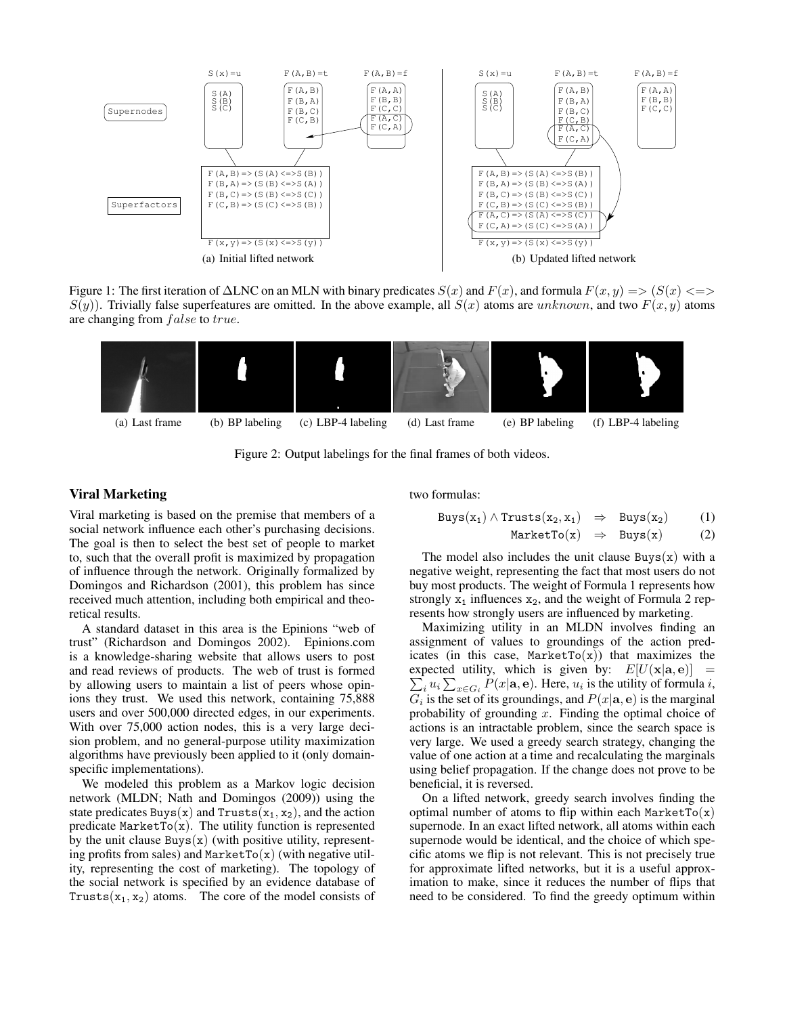

Figure 1: The first iteration of  $\Delta LNC$  on an MLN with binary predicates  $S(x)$  and  $F(x)$ , and formula  $F(x, y) \implies (S(x) \leq y)$  $S(y)$ ). Trivially false superfeatures are omitted. In the above example, all  $S(x)$  atoms are unknown, and two  $F(x, y)$  atoms are changing from *false* to *true*.



Figure 2: Output labelings for the final frames of both videos.

## Viral Marketing

Viral marketing is based on the premise that members of a social network influence each other's purchasing decisions. The goal is then to select the best set of people to market to, such that the overall profit is maximized by propagation of influence through the network. Originally formalized by Domingos and Richardson (2001), this problem has since received much attention, including both empirical and theoretical results.

A standard dataset in this area is the Epinions "web of trust" (Richardson and Domingos 2002). Epinions.com is a knowledge-sharing website that allows users to post and read reviews of products. The web of trust is formed by allowing users to maintain a list of peers whose opinions they trust. We used this network, containing 75,888 users and over 500,000 directed edges, in our experiments. With over 75,000 action nodes, this is a very large decision problem, and no general-purpose utility maximization algorithms have previously been applied to it (only domainspecific implementations).

We modeled this problem as a Markov logic decision network (MLDN; Nath and Domingos (2009)) using the state predicates Buys(x) and Trusts( $x_1, x_2$ ), and the action predicate  ${\tt MarketTo}(x)$ . The utility function is represented by the unit clause  $Buys(x)$  (with positive utility, representing profits from sales) and  $\text{MarketTo}(x)$  (with negative utility, representing the cost of marketing). The topology of the social network is specified by an evidence database of Trusts( $x_1, x_2$ ) atoms. The core of the model consists of

two formulas:

$$
Buys(x_1) \wedge Trusts(x_2, x_1) \Rightarrow Buys(x_2) \qquad (1)
$$

$$
MarketTo(x) \Rightarrow Buys(x) \qquad (2)
$$

The model also includes the unit clause  $Buys(x)$  with a negative weight, representing the fact that most users do not buy most products. The weight of Formula 1 represents how strongly  $x_1$  influences  $x_2$ , and the weight of Formula 2 represents how strongly users are influenced by marketing.

Maximizing utility in an MLDN involves finding an assignment of values to groundings of the action predicates (in this case, MarketTo $(x)$ ) that maximizes the expected utility, which is given by:  $E[U(\mathbf{x}|\mathbf{a}, \mathbf{e})] =$  $\sum_i u_i \sum_{x \in G_i} P(x|\mathbf{a}, \mathbf{e})$ . Here,  $u_i$  is the utility of formula i,  $G_i$  is the set of its groundings, and  $P(x|\mathbf{a}, \mathbf{e})$  is the marginal probability of grounding  $x$ . Finding the optimal choice of actions is an intractable problem, since the search space is very large. We used a greedy search strategy, changing the value of one action at a time and recalculating the marginals using belief propagation. If the change does not prove to be beneficial, it is reversed.

On a lifted network, greedy search involves finding the optimal number of atoms to flip within each MarketTo $(x)$ supernode. In an exact lifted network, all atoms within each supernode would be identical, and the choice of which specific atoms we flip is not relevant. This is not precisely true for approximate lifted networks, but it is a useful approximation to make, since it reduces the number of flips that need to be considered. To find the greedy optimum within